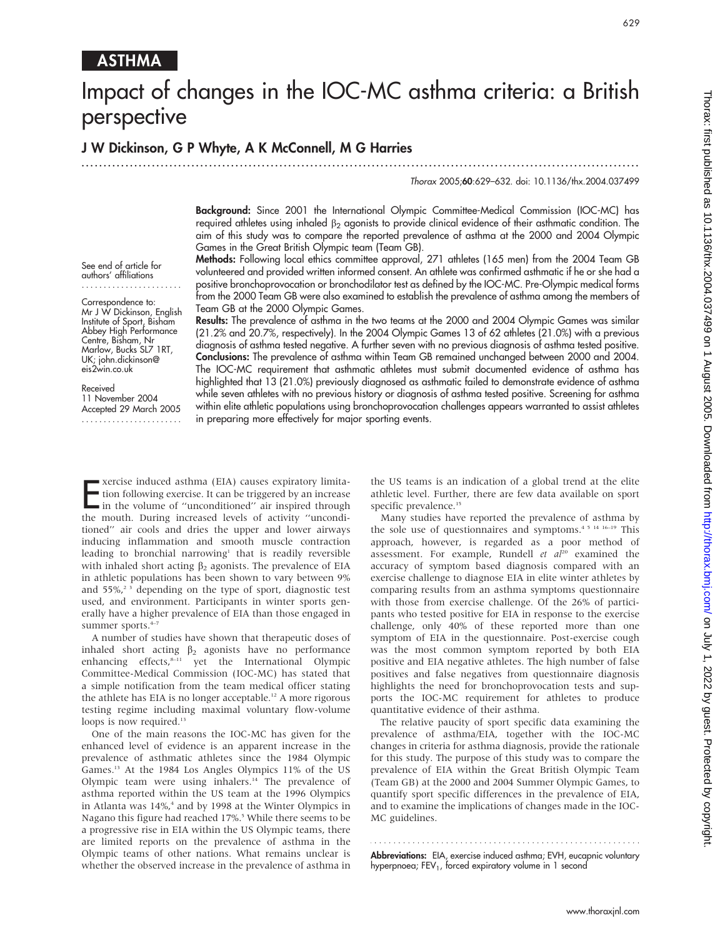# ASTHMA

# Impact of changes in the IOC-MC asthma criteria: a British perspective

# J W Dickinson, G P Whyte, A K McConnell, M G Harries

...............................................................................................................................

#### Thorax 2005;60:629–632. doi: 10.1136/thx.2004.037499

Background: Since 2001 the International Olympic Committee-Medical Commission (IOC-MC) has required athletes using inhaled  $\beta_2$  agonists to provide clinical evidence of their asthmatic condition. The aim of this study was to compare the reported prevalence of asthma at the 2000 and 2004 Olympic Games in the Great British Olympic team (Team GB).

Methods: Following local ethics committee approval, 271 athletes (165 men) from the 2004 Team GB volunteered and provided written informed consent. An athlete was confirmed asthmatic if he or she had a positive bronchoprovocation or bronchodilator test as defined by the IOC-MC. Pre-Olympic medical forms from the 2000 Team GB were also examined to establish the prevalence of asthma among the members of Team GB at the 2000 Olympic Games.

Results: The prevalence of asthma in the two teams at the 2000 and 2004 Olympic Games was similar (21.2% and 20.7%, respectively). In the 2004 Olympic Games 13 of 62 athletes (21.0%) with a previous diagnosis of asthma tested negative. A further seven with no previous diagnosis of asthma tested positive. Conclusions: The prevalence of asthma within Team GB remained unchanged between 2000 and 2004. The IOC-MC requirement that asthmatic athletes must submit documented evidence of asthma has highlighted that 13 (21.0%) previously diagnosed as asthmatic failed to demonstrate evidence of asthma while seven athletes with no previous history or diagnosis of asthma tested positive. Screening for asthma within elite athletic populations using bronchoprovocation challenges appears warranted to assist athletes in preparing more effectively for major sporting events.

See end of article for authors' affiliations .......................

Correspondence to: Mr J W Dickinson, English Institute of Sport, Bisham Abbey High Performance Centre, Bisham, Nr Marlow, Bucks SL7 1RT, UK; john.dickinson@ eis2win.co.uk

#### Received

11 November 2004 Accepted 29 March 2005 .......................

Exercise induced asthma (EIA) causes expiratory limita-<br>tion following exercise. It can be triggered by an increase<br>in the volume of "unconditioned" air inspired through<br>the mouth During increased layels of activity "uncon tion following exercise. It can be triggered by an increase in the volume of "unconditioned" air inspired through the mouth. During increased levels of activity ''unconditioned'' air cools and dries the upper and lower airways inducing inflammation and smooth muscle contraction leading to bronchial narrowing<sup>1</sup> that is readily reversible with inhaled short acting  $\beta_2$  agonists. The prevalence of EIA in athletic populations has been shown to vary between 9% and 55%,<sup>2</sup> 3 depending on the type of sport, diagnostic test used, and environment. Participants in winter sports generally have a higher prevalence of EIA than those engaged in summer sports.<sup>4-</sup>

A number of studies have shown that therapeutic doses of inhaled short acting  $\beta_2$  agonists have no performance enhancing effects,<sup>8-11</sup> yet the International Olympic Committee-Medical Commission (IOC-MC) has stated that a simple notification from the team medical officer stating the athlete has EIA is no longer acceptable.<sup>12</sup> A more rigorous testing regime including maximal voluntary flow-volume loops is now required.<sup>13</sup>

One of the main reasons the IOC-MC has given for the enhanced level of evidence is an apparent increase in the prevalence of asthmatic athletes since the 1984 Olympic Games.13 At the 1984 Los Angles Olympics 11% of the US Olympic team were using inhalers.<sup>14</sup> The prevalence of asthma reported within the US team at the 1996 Olympics in Atlanta was  $14\%$ ,<sup>4</sup> and by 1998 at the Winter Olympics in Nagano this figure had reached 17%.<sup>5</sup> While there seems to be a progressive rise in EIA within the US Olympic teams, there are limited reports on the prevalence of asthma in the Olympic teams of other nations. What remains unclear is whether the observed increase in the prevalence of asthma in the US teams is an indication of a global trend at the elite athletic level. Further, there are few data available on sport specific prevalence.<sup>15</sup>

Many studies have reported the prevalence of asthma by the sole use of questionnaires and symptoms.4 5 14 16–19 This approach, however, is regarded as a poor method of assessment. For example, Rundell et  $al^{20}$  examined the accuracy of symptom based diagnosis compared with an exercise challenge to diagnose EIA in elite winter athletes by comparing results from an asthma symptoms questionnaire with those from exercise challenge. Of the 26% of participants who tested positive for EIA in response to the exercise challenge, only 40% of these reported more than one symptom of EIA in the questionnaire. Post-exercise cough was the most common symptom reported by both EIA positive and EIA negative athletes. The high number of false positives and false negatives from questionnaire diagnosis highlights the need for bronchoprovocation tests and supports the IOC-MC requirement for athletes to produce quantitative evidence of their asthma.

The relative paucity of sport specific data examining the prevalence of asthma/EIA, together with the IOC-MC changes in criteria for asthma diagnosis, provide the rationale for this study. The purpose of this study was to compare the prevalence of EIA within the Great British Olympic Team (Team GB) at the 2000 and 2004 Summer Olympic Games, to quantify sport specific differences in the prevalence of EIA, and to examine the implications of changes made in the IOC-MC guidelines.

Abbreviations: EIA, exercise induced asthma; EVH, eucapnic voluntary hyperpnoea; FEV<sub>1</sub>, forced expiratory volume in 1 second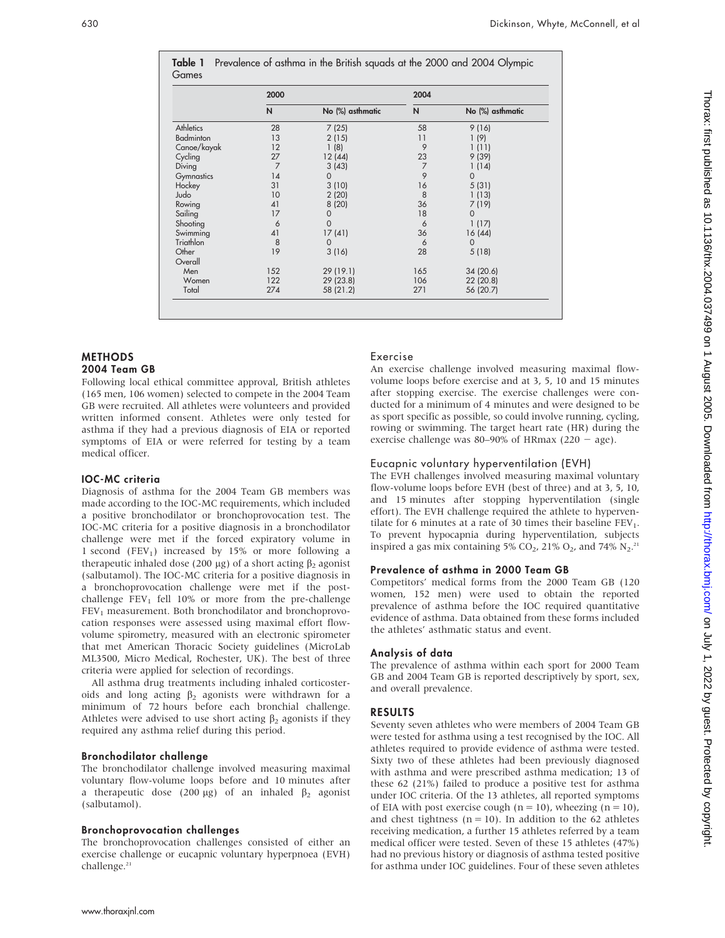|                  | 2000           |                  | 2004           |                  |
|------------------|----------------|------------------|----------------|------------------|
|                  | N              | No (%) asthmatic | N              | No (%) asthmatic |
| <b>Athletics</b> | 28             | 7(25)            | 58             | 9(16)            |
| Badminton        | 13             | 2(15)            | 11             | 1(9)             |
| Canoe/kayak      | 12             | 1(8)             | 9              | 1(11)            |
| Cycling          | 27             | 12(44)           | 23             | 9(39)            |
| Diving           | $\overline{7}$ | 3(43)            | $\overline{7}$ | 1(14)            |
| Gymnastics       | 14             | $\Omega$         | 9              | $\Omega$         |
| Hockey           | 31             | 3(10)            | 16             | 5(31)            |
| Judo             | 10             | 2(20)            | 8              | 1(13)            |
| Rowing           | 41             | 8(20)            | 36             | 7 (19)           |
| Sailing          | 17             | 0                | 18             | $\Omega$         |
| Shooting         | 6              | $\Omega$         | 6              | 1(17)            |
| Swimming         | 41             | 17 (41)          | 36             | 16(44)           |
| Triathlon        | 8              | $\Omega$         | 6              | $\Omega$         |
| Other            | 19             | 3(16)            | 28             | 5(18)            |
| Overall          |                |                  |                |                  |
| Men              | 152            | 29 (19.1)        | 165            | 34 (20.6)        |
| Women            | 122            | 29 (23.8)        | 106            | 22 (20.8)        |
| Total            | 274            | 58 (21.2)        | 271            | 56 (20.7)        |

### **METHODS** 2004 Team GB

Following local ethical committee approval, British athletes (165 men, 106 women) selected to compete in the 2004 Team GB were recruited. All athletes were volunteers and provided written informed consent. Athletes were only tested for asthma if they had a previous diagnosis of EIA or reported symptoms of EIA or were referred for testing by a team medical officer.

# IOC-MC criteria

Diagnosis of asthma for the 2004 Team GB members was made according to the IOC-MC requirements, which included a positive bronchodilator or bronchoprovocation test. The IOC-MC criteria for a positive diagnosis in a bronchodilator challenge were met if the forced expiratory volume in 1 second (FEV<sub>1</sub>) increased by 15% or more following a therapeutic inhaled dose (200  $\mu$ g) of a short acting  $\beta_2$  agonist (salbutamol). The IOC-MC criteria for a positive diagnosis in a bronchoprovocation challenge were met if the postchallenge  $FEV<sub>1</sub>$  fell 10% or more from the pre-challenge FEV<sub>1</sub> measurement. Both bronchodilator and bronchoprovocation responses were assessed using maximal effort flowvolume spirometry, measured with an electronic spirometer that met American Thoracic Society guidelines (MicroLab ML3500, Micro Medical, Rochester, UK). The best of three criteria were applied for selection of recordings.

All asthma drug treatments including inhaled corticosteroids and long acting  $\beta_2$  agonists were withdrawn for a minimum of 72 hours before each bronchial challenge. Athletes were advised to use short acting  $\beta_2$  agonists if they required any asthma relief during this period.

## Bronchodilator challenge

The bronchodilator challenge involved measuring maximal voluntary flow-volume loops before and 10 minutes after a therapeutic dose (200 µg) of an inhaled  $\beta_2$  agonist (salbutamol).

#### Bronchoprovocation challenges

The bronchoprovocation challenges consisted of either an exercise challenge or eucapnic voluntary hyperpnoea (EVH) challenge.<sup>21</sup>

# Exercise

An exercise challenge involved measuring maximal flowvolume loops before exercise and at 3, 5, 10 and 15 minutes after stopping exercise. The exercise challenges were conducted for a minimum of 4 minutes and were designed to be as sport specific as possible, so could involve running, cycling, rowing or swimming. The target heart rate (HR) during the exercise challenge was 80–90% of HRmax (220  $-$  age).

# Eucapnic voluntary hyperventilation (EVH)

The EVH challenges involved measuring maximal voluntary flow-volume loops before EVH (best of three) and at 3, 5, 10, and 15 minutes after stopping hyperventilation (single effort). The EVH challenge required the athlete to hyperventilate for 6 minutes at a rate of 30 times their baseline  $FEV<sub>1</sub>$ . To prevent hypocapnia during hyperventilation, subjects inspired a gas mix containing 5%  $CO_2$ , 21%  $O_2$ , and 74%  $N_2$ .<sup>21</sup>

# Prevalence of asthma in 2000 Team GB

Competitors' medical forms from the 2000 Team GB (120 women, 152 men) were used to obtain the reported prevalence of asthma before the IOC required quantitative evidence of asthma. Data obtained from these forms included the athletes' asthmatic status and event.

# Analysis of data

The prevalence of asthma within each sport for 2000 Team GB and 2004 Team GB is reported descriptively by sport, sex, and overall prevalence.

# RESULTS

Seventy seven athletes who were members of 2004 Team GB were tested for asthma using a test recognised by the IOC. All athletes required to provide evidence of asthma were tested. Sixty two of these athletes had been previously diagnosed with asthma and were prescribed asthma medication; 13 of these 62 (21%) failed to produce a positive test for asthma under IOC criteria. Of the 13 athletes, all reported symptoms of EIA with post exercise cough ( $n = 10$ ), wheezing ( $n = 10$ ), and chest tightness ( $n = 10$ ). In addition to the 62 athletes receiving medication, a further 15 athletes referred by a team medical officer were tested. Seven of these 15 athletes (47%) had no previous history or diagnosis of asthma tested positive for asthma under IOC guidelines. Four of these seven athletes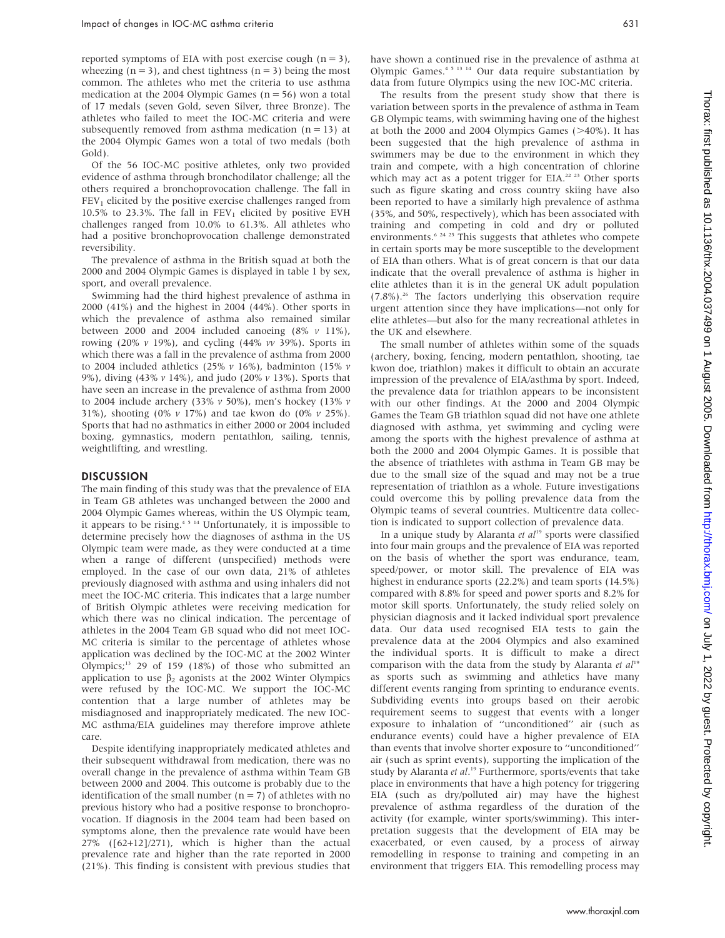reported symptoms of EIA with post exercise cough  $(n = 3)$ , wheezing ( $n = 3$ ), and chest tightness ( $n = 3$ ) being the most common. The athletes who met the criteria to use asthma medication at the 2004 Olympic Games ( $n = 56$ ) won a total of 17 medals (seven Gold, seven Silver, three Bronze). The athletes who failed to meet the IOC-MC criteria and were subsequently removed from asthma medication  $(n = 13)$  at the 2004 Olympic Games won a total of two medals (both Gold).

Of the 56 IOC-MC positive athletes, only two provided evidence of asthma through bronchodilator challenge; all the others required a bronchoprovocation challenge. The fall in  $FEV<sub>1</sub>$  elicited by the positive exercise challenges ranged from 10.5% to 23.3%. The fall in  $FEV<sub>1</sub>$  elicited by positive EVH challenges ranged from 10.0% to 61.3%. All athletes who had a positive bronchoprovocation challenge demonstrated reversibility.

The prevalence of asthma in the British squad at both the 2000 and 2004 Olympic Games is displayed in table 1 by sex, sport, and overall prevalence.

Swimming had the third highest prevalence of asthma in 2000 (41%) and the highest in 2004 (44%). Other sports in which the prevalence of asthma also remained similar between 2000 and 2004 included canoeing  $(8\% \text{ v } 11\%),$ rowing (20%  $v$  19%), and cycling (44%  $vv$  39%). Sports in which there was a fall in the prevalence of asthma from 2000 to 2004 included athletics (25%  $v$  16%), badminton (15%  $v$ 9%), diving (43% v 14%), and judo (20% v 13%). Sports that have seen an increase in the prevalence of asthma from 2000 to 2004 include archery (33% v 50%), men's hockey (13% v 31%), shooting (0%  $\nu$  17%) and tae kwon do (0%  $\nu$  25%). Sports that had no asthmatics in either 2000 or 2004 included boxing, gymnastics, modern pentathlon, sailing, tennis, weightlifting, and wrestling.

#### DISCUSSION

The main finding of this study was that the prevalence of EIA in Team GB athletes was unchanged between the 2000 and 2004 Olympic Games whereas, within the US Olympic team, it appears to be rising. $4 \times 14$  Unfortunately, it is impossible to determine precisely how the diagnoses of asthma in the US Olympic team were made, as they were conducted at a time when a range of different (unspecified) methods were employed. In the case of our own data, 21% of athletes previously diagnosed with asthma and using inhalers did not meet the IOC-MC criteria. This indicates that a large number of British Olympic athletes were receiving medication for which there was no clinical indication. The percentage of athletes in the 2004 Team GB squad who did not meet IOC-MC criteria is similar to the percentage of athletes whose application was declined by the IOC-MC at the 2002 Winter Olympics; $13$  29 of 159 (18%) of those who submitted an application to use  $\beta_2$  agonists at the 2002 Winter Olympics were refused by the IOC-MC. We support the IOC-MC contention that a large number of athletes may be misdiagnosed and inappropriately medicated. The new IOC-MC asthma/EIA guidelines may therefore improve athlete care.

Despite identifying inappropriately medicated athletes and their subsequent withdrawal from medication, there was no overall change in the prevalence of asthma within Team GB between 2000 and 2004. This outcome is probably due to the identification of the small number  $(n = 7)$  of athletes with no previous history who had a positive response to bronchoprovocation. If diagnosis in the 2004 team had been based on symptoms alone, then the prevalence rate would have been 27% ([62+12]/271), which is higher than the actual prevalence rate and higher than the rate reported in 2000 (21%). This finding is consistent with previous studies that have shown a continued rise in the prevalence of asthma at Olympic Games.4 5 13 14 Our data require substantiation by data from future Olympics using the new IOC-MC criteria.

The results from the present study show that there is variation between sports in the prevalence of asthma in Team GB Olympic teams, with swimming having one of the highest at both the 2000 and 2004 Olympics Games  $(>40\%)$ . It has been suggested that the high prevalence of asthma in swimmers may be due to the environment in which they train and compete, with a high concentration of chlorine which may act as a potent trigger for EIA.<sup>22-23</sup> Other sports such as figure skating and cross country skiing have also been reported to have a similarly high prevalence of asthma (35%, and 50%, respectively), which has been associated with training and competing in cold and dry or polluted environments.<sup>6 24 25</sup> This suggests that athletes who compete in certain sports may be more susceptible to the development of EIA than others. What is of great concern is that our data indicate that the overall prevalence of asthma is higher in elite athletes than it is in the general UK adult population (7.8%).26 The factors underlying this observation require urgent attention since they have implications—not only for elite athletes—but also for the many recreational athletes in the UK and elsewhere.

The small number of athletes within some of the squads (archery, boxing, fencing, modern pentathlon, shooting, tae kwon doe, triathlon) makes it difficult to obtain an accurate impression of the prevalence of EIA/asthma by sport. Indeed, the prevalence data for triathlon appears to be inconsistent with our other findings. At the 2000 and 2004 Olympic Games the Team GB triathlon squad did not have one athlete diagnosed with asthma, yet swimming and cycling were among the sports with the highest prevalence of asthma at both the 2000 and 2004 Olympic Games. It is possible that the absence of triathletes with asthma in Team GB may be due to the small size of the squad and may not be a true representation of triathlon as a whole. Future investigations could overcome this by polling prevalence data from the Olympic teams of several countries. Multicentre data collection is indicated to support collection of prevalence data.

In a unique study by Alaranta et  $al<sup>19</sup>$  sports were classified into four main groups and the prevalence of EIA was reported on the basis of whether the sport was endurance, team, speed/power, or motor skill. The prevalence of EIA was highest in endurance sports (22.2%) and team sports (14.5%) compared with 8.8% for speed and power sports and 8.2% for motor skill sports. Unfortunately, the study relied solely on physician diagnosis and it lacked individual sport prevalence data. Our data used recognised EIA tests to gain the prevalence data at the 2004 Olympics and also examined the individual sports. It is difficult to make a direct comparison with the data from the study by Alaranta et  $al^{19}$ as sports such as swimming and athletics have many different events ranging from sprinting to endurance events. Subdividing events into groups based on their aerobic requirement seems to suggest that events with a longer exposure to inhalation of ''unconditioned'' air (such as endurance events) could have a higher prevalence of EIA than events that involve shorter exposure to ''unconditioned'' air (such as sprint events), supporting the implication of the study by Alaranta et al.<sup>19</sup> Furthermore, sports/events that take place in environments that have a high potency for triggering EIA (such as dry/polluted air) may have the highest prevalence of asthma regardless of the duration of the activity (for example, winter sports/swimming). This interpretation suggests that the development of EIA may be exacerbated, or even caused, by a process of airway remodelling in response to training and competing in an environment that triggers EIA. This remodelling process may